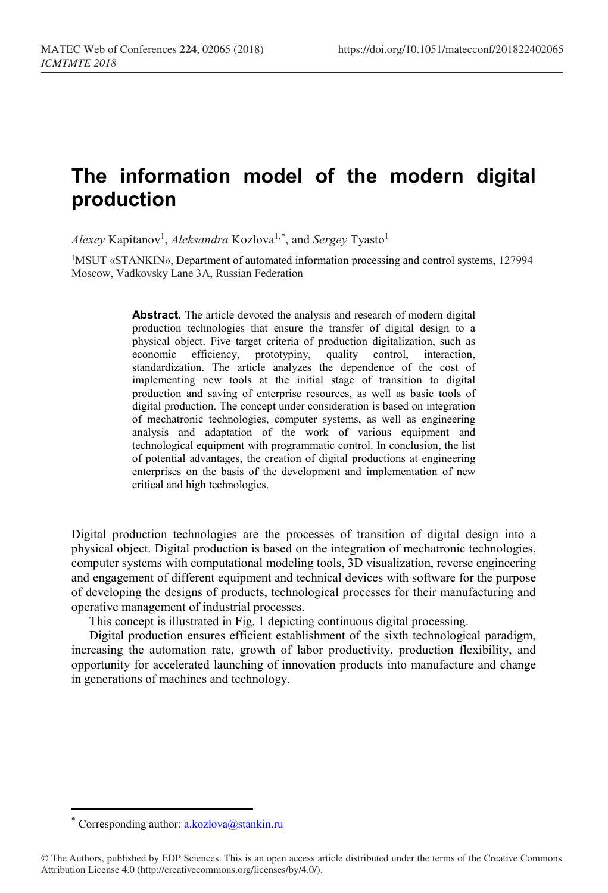# **The information model of the modern digital production**

 $A$ *lexey* Kapitanov<sup>1</sup>,  $A$ leksandra Kozlova<sup>1,[\\*](#page-0-0)</sup>, and *Sergey* Tyasto<sup>1</sup>

1MSUT «STANKIN», Department of automated information processing and control systems, 127994 Moscow, Vadkovsky Lane 3А, Russian Federation

> **Abstract.** The article devoted the analysis and research of modern digital production technologies that ensure the transfer of digital design to a physical object. Five target criteria of production digitalization, such as economic efficiency, prototypiny, quality control, interaction, standardization. The article analyzes the dependence of the cost of implementing new tools at the initial stage of transition to digital production and saving of enterprise resources, as well as basic tools of digital production. The concept under consideration is based on integration of mechatronic technologies, computer systems, as well as engineering analysis and adaptation of the work of various equipment and technological equipment with programmatic control. In conclusion, the list of potential advantages, the creation of digital productions at engineering enterprises on the basis of the development and implementation of new critical and high technologies.

Digital production technologies are the processes of transition of digital design into a physical object. Digital production is based on the integration of mechatronic technologies, computer systems with computational modeling tools, 3D visualization, reverse engineering and engagement of different equipment and technical devices with software for the purpose of developing the designs of products, technological processes for their manufacturing and operative management of industrial processes.

This concept is illustrated in Fig. 1 depicting continuous digital processing.

Digital production ensures efficient establishment of the sixth technological paradigm, increasing the automation rate, growth of labor productivity, production flexibility, and opportunity for accelerated launching of innovation products into manufacture and change in generations of machines and technology.

 $\overline{a}$ 

<span id="page-0-0"></span>Corresponding author:  $a.kozlova@stankin.ru$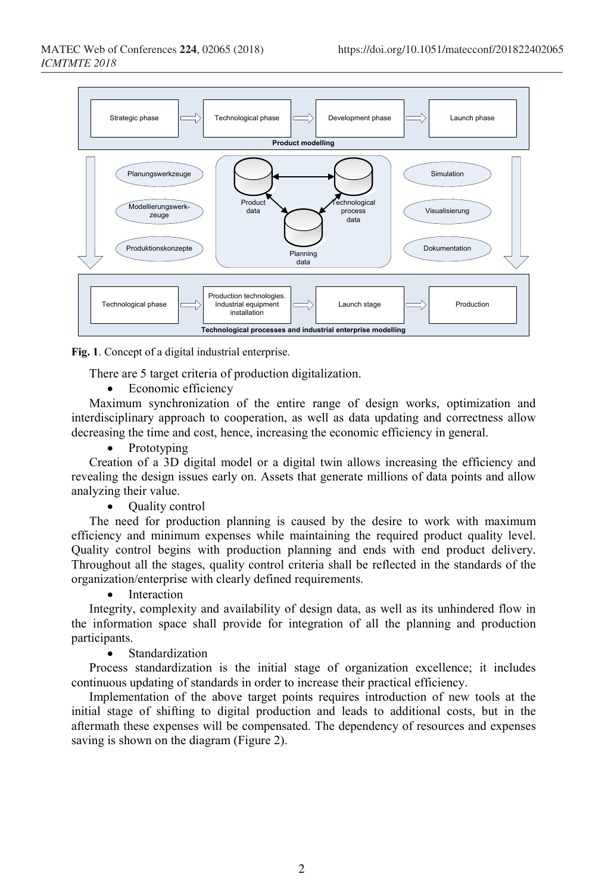

**Fig. 1**. Concept of a digital industrial enterprise.

There are 5 target criteria of production digitalization.

• Economic efficiency

Maximum synchronization of the entire range of design works, optimization and interdisciplinary approach to cooperation, as well as data updating and correctness allow decreasing the time and cost, hence, increasing the economic efficiency in general.

**Prototyping** 

Creation of a 3D digital model or a digital twin allows increasing the efficiency and revealing the design issues early on. Assets that generate millions of data points and allow analyzing their value.

#### • Ouality control

The need for production planning is caused by the desire to work with maximum efficiency and minimum expenses while maintaining the required product quality level. Quality control begins with production planning and ends with end product delivery. Throughout all the stages, quality control criteria shall be reflected in the standards of the organization/enterprise with clearly defined requirements.

**Interaction** 

Integrity, complexity and availability of design data, as well as its unhindered flow in the information space shall provide for integration of all the planning and production participants.

#### **Standardization**

Process standardization is the initial stage of organization excellence; it includes continuous updating of standards in order to increase their practical efficiency.

Implementation of the above target points requires introduction of new tools at the initial stage of shifting to digital production and leads to additional costs, but in the aftermath these expenses will be compensated. The dependency of resources and expenses saving is shown on the diagram (Figure 2).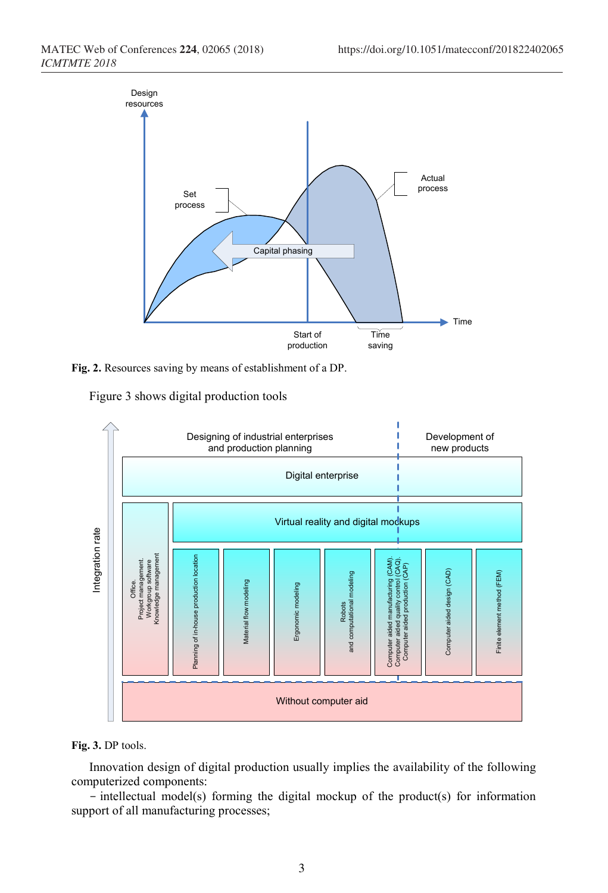

**Fig. 2.** Resources saving by means of establishment of a DP.

Figure 3 shows digital production tools





Innovation design of digital production usually implies the availability of the following computerized components:

 $-$  intellectual model(s) forming the digital mockup of the product(s) for information support of all manufacturing processes;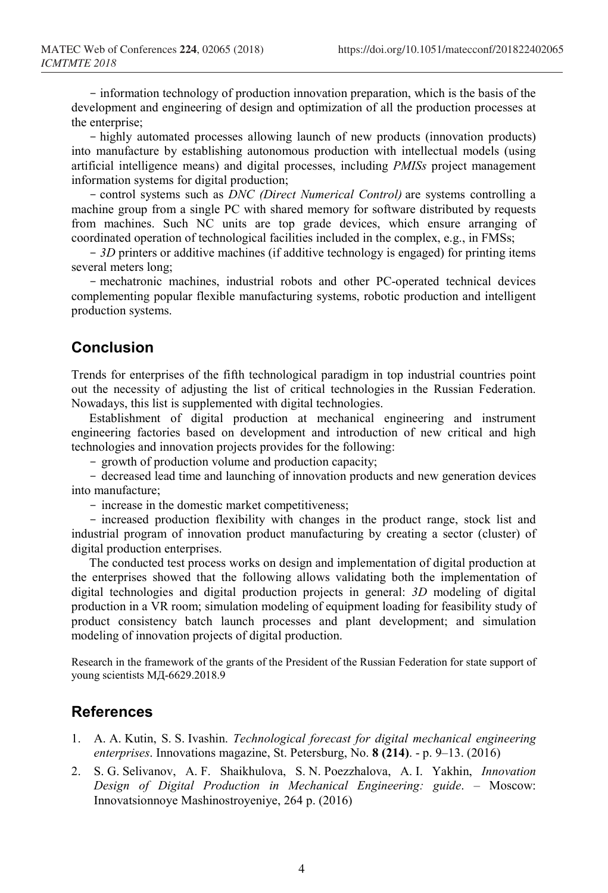- information technology of production innovation preparation, which is the basis of the development and engineering of design and optimization of all the production processes at the enterprise;

- highly automated processes allowing launch of new products (innovation products) into manufacture by establishing autonomous production with intellectual models (using artificial intelligence means) and digital processes, including *PMISs* project management information systems for digital production;

 control systems such as *DNC (Direct Numerical Control)* are systems controlling a machine group from a single PC with shared memory for software distributed by requests from machines. Such NC units are top grade devices, which ensure arranging of coordinated operation of technological facilities included in the complex, e.g., in FMSs;

 *3D* printers or additive machines (if additive technology is engaged) for printing items several meters long;

 mechatronic machines, industrial robots and other PC-operated technical devices complementing popular flexible manufacturing systems, robotic production and intelligent production systems.

## **Conclusion**

Trends for enterprises of the fifth technological paradigm in top industrial countries point out the necessity of adjusting the list of critical technologies in the Russian Federation. Nowadays, this list is supplemented with digital technologies.

Establishment of digital production at mechanical engineering and instrument engineering factories based on development and introduction of new critical and high technologies and innovation projects provides for the following:

- growth of production volume and production capacity;

- decreased lead time and launching of innovation products and new generation devices into manufacture;

- increase in the domestic market competitiveness;

- increased production flexibility with changes in the product range, stock list and industrial program of innovation product manufacturing by creating a sector (cluster) of digital production enterprises.

The conducted test process works on design and implementation of digital production at the enterprises showed that the following allows validating both the implementation of digital technologies and digital production projects in general: *3D* modeling of digital production in a VR room; simulation modeling of equipment loading for feasibility study of product consistency batch launch processes and plant development; and simulation modeling of innovation projects of digital production.

Research in the framework of the grants of the President of the Russian Federation for state support of young scientists МД-6629.2018.9

### **References**

- 1. A. A. Kutin, S. S. Ivashin. *Technological forecast for digital mechanical engineering enterprises*. Innovations magazine, St. Petersburg, No. **8 (214)**. - p. 9–13. (2016)
- 2. S. G. Selivanov, A. F. Shaikhulova, S. N. Poezzhalova, A. I. Yakhin, *Innovation Design of Digital Production in Mechanical Engineering: guide*. – Moscow: Innovatsionnoye Mashinostroyeniye, 264 p. (2016)